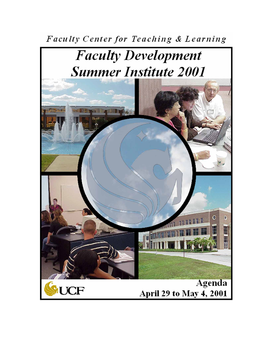Faculty Center for Teaching & Learning

# **Faculty Development Summer Institute 2001**

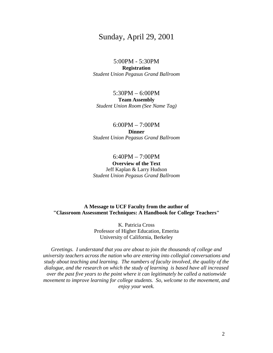# Sunday, April 29, 2001

#### 5:00PM - 5:30PM **Registration**  *Student Union Pegasus Grand Ballroom*

#### 5:30PM – 6:00PM **Team Assembly**  *Student Union Room (See Name Tag)*

#### 6:00PM – 7:00PM **Dinner**  *Student Union Pegasus Grand Ballroom*

#### 6:40PM – 7:00PM **Overview of the Text**  Jeff Kaplan & Larry Hudson *Student Union Pegasus Grand Ballroom*

#### **A Message to UCF Faculty from the author of "Classroom Assessment Techniques: A Handbook for College Teachers"**

K. Patricia Cross Professor of Higher Education, Emerita University of California, Berkeley

*Greetings. I understand that you are about to join the thousands of college and university teachers across the nation who are entering into collegial conversations and study about teaching and learning. The numbers of faculty involved, the quality of the dialogue, and the research on which the study of learning is based have all increased over the past five years to the point where it can legitimately be called a nationwide movement to improve learning for college students. So, welcome to the movement, and enjoy your week.*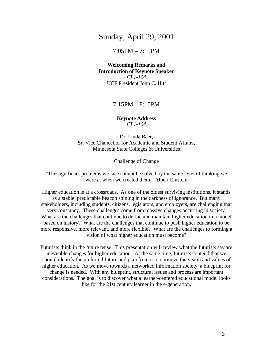# Sunday, April 29, 2001

# 7:05PM – 7:15PM

**Welcoming Remarks and Introduction of Keynote Speaker**  *CL1-104*  UCF President John C. Hitt

7:15PM – 8:15PM

#### **Keynote Address**  *CL1-104*

Dr. Linda Baer, Sr. Vice Chancellor for Academic and Student Affairs, Minnesota State Colleges & Universities

Challenge of Change

"The significant problems we face cannot be solved by the same level of thinking we were at when we created them." Albert Einstein

Higher education is at a crossroads. As one of the oldest surviving institutions, it stands as a stable, predictable beacon shining in the darkness of ignorance. But many stakeholders, including students, citizens, legislators, and employers, are challenging that very constancy. These challenges come from massive changes occurring in society. What are the challenges that continue to define and maintain higher education in a model based on history? What are the challenges that continue to push higher education to be more responsive, more relevant, and more flexible? What are the challenges to forming a vision of what higher education must become?

Futurists think in the future tense. This presentation will review what the futurists say are inevitable changes for higher education. At the same time, futurists contend that we should identify the preferred future and plan from it to optimize the vision and values of higher education. As we move towards a networked information society, a blueprint for change is needed. With any blueprint, structural issues and process are important considerations. The goal is to discover what a learner-centered educational model looks like for the 21st century learner in the e-generation.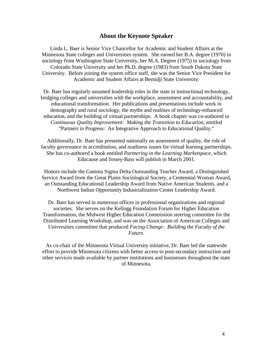#### **About the Keynote Speaker**

Linda L. Baer is Senior Vice Chancellor for Academic and Student Affairs at the Minnesota State colleges and Universities system. She earned her B.A. degree (1970) in sociology from Washington State University, her M.A. Degree (1975) in sociology from Colorado State University and her Ph.D. degree (1983) from South Dakota State University. Before joining the system office staff, she was the Senior Vice President for Academic and Student Affairs at Bemidji State University.

Dr. Baer has regularly assumed leadership roles in the state in instructional technology, bridging colleges and universities with the workplace, assessment and accountability, and educational transformation. Her publications and presentations include work in demography and rural sociology, the myths and realities of technology-enhanced education, and the building of virtual partnerships. A book chapter was co-authored in *Continuous Quality Improvement: Making the Transition to Education*, entitled "Partners in Progress: An Integrative Approach to Educational Quality."

Additionally, Dr. Baer has presented nationally on assessment of quality, the role of faculty governance in accreditation, and readiness issues for virtual learning partnerships. She has co-authored a book entitled *Partnering in the Learning Marketspace,* which Educause and Jossey-Bass will publish in March 2001.

Honors include the Gamma Sigma Delta Outstanding Teacher Award, a Distinguished Service Award from the Great Plains Sociological Society, a Centennial Woman Award, an Outstanding Educational Leadership Award from Native American Students, and a Northwest Indian Opportunity Industrialization Center Leadership Award.

Dr. Baer has served in numerous offices in professional organizations and regional societies. She serves on the Kellogg Foundation Forum for Higher Education Transformation, the Midwest Higher Education Commission steering committee for the Distributed Learning Workshop, and was on the Association of American Colleges and Universities committee that produced *Facing Change: Building the Faculty of the Future*.

As co-chair of the Minnesota Virtual University initiative, Dr. Baer led the statewide effort to provide Minnesota citizens with better access to post-secondary instruction and other services made available by partner institutions and businesses throughout the state of Minnesota.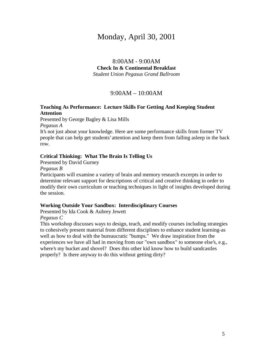# Monday, April 30, 2001

# 8:00AM - 9:00AM **Check In & Continental Breakfast**  *Student Union Pegasus Grand Ballroom*

## 9:00AM – 10:00AM

#### **Teaching As Performance: Lecture Skills For Getting And Keeping Student Attention**

Presented by George Bagley & Lisa Mills

*Pegasus A* 

It's not just about your knowledge. Here are some performance skills from former TV people that can help get students' attention and keep them from falling asleep in the back row.

#### **Critical Thinking: What The Brain Is Telling Us**

Presented by David Gurney

*Pegasus B* 

Participants will examine a variety of brain and memory research excerpts in order to determine relevant support for descriptions of critical and creative thinking in order to modify their own curriculum or teaching techniques in light of insights developed during the session.

#### **Working Outside Your Sandbox: Interdisciplinary Courses**

Presented by Ida Cook & Aubrey Jewett

*Pegasus C* 

This workshop discusses ways to design, teach, and modify courses including strategies to cohesively present material from different disciplines to enhance student learning-as well as how to deal with the bureaucratic "bumps." We draw inspiration from the experiences we have all had in moving from our "own sandbox" to someone else's, e.g., where's my bucket and shovel? Does this other kid know how to build sandcastles properly? Is there anyway to do this without getting dirty?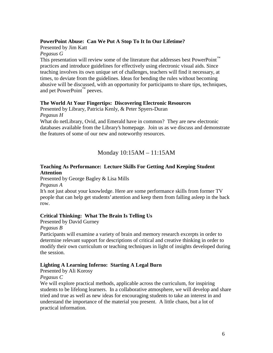#### **PowerPoint Abuse: Can We Put A Stop To It In Our Lifetime?**

Presented by Jim Katt

#### *Pegasus G*

This presentation will review some of the literature that addresses best PowerPoint<sup>™</sup> practices and introduce guidelines for effectively using electronic visual aids. Since teaching involves its own unique set of challenges, teachers will find it necessary, at times, to deviate from the guidelines. Ideas for bending the rules without becoming abusive will be discussed, with an opportunity for participants to share tips, techniques, and pet PowerPoint™ peeves.

#### **The World At Your Fingertips: Discovering Electronic Resources**

Presented by Library, Patricia Kenly, & Peter Spyers-Duran *Pegasus H* 

What do netLibrary, Ovid, and Emerald have in common? They are new electronic databases available from the Library's homepage. Join us as we discuss and demonstrate the features of some of our new and noteworthy resources.

# Monday 10:15AM – 11:15AM

#### **Teaching As Performance: Lecture Skills For Getting And Keeping Student Attention**

Presented by George Bagley & Lisa Mills

*Pegasus A* 

It's not just about your knowledge. Here are some performance skills from former TV people that can help get students' attention and keep them from falling asleep in the back row.

#### **Critical Thinking: What The Brain Is Telling Us**

Presented by David Gurney

*Pegasus B* 

Participants will examine a variety of brain and memory research excerpts in order to determine relevant support for descriptions of critical and creative thinking in order to modify their own curriculum or teaching techniques in light of insights developed during the session.

#### **Lighting A Learning Inferno: Starting A Legal Burn**

Presented by Ali Korosy

*Pegasus C* 

We will explore practical methods, applicable across the curriculum, for inspiring students to be lifelong learners. In a collaborative atmosphere, we will develop and share tried and true as well as new ideas for encouraging students to take an interest in and understand the importance of the material you present. A little chaos, but a lot of practical information.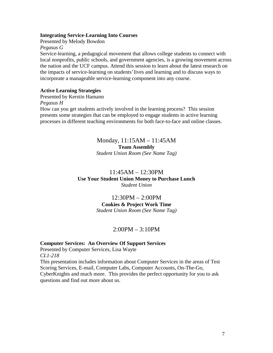#### **Integrating Service-Learning Into Courses**

Presented by Melody Bowdon

*Pegasus G* 

Service-learning, a pedagogical movement that allows college students to connect with local nonprofits, public schools, and government agencies, is a growing movement across the nation and the UCF campus. Attend this session to learn about the latest research on the impacts of service-learning on students' lives and learning and to discuss ways to incorporate a manageable service-learning component into any course.

#### **Active Learning Strategies**

Presented by Kerstin Hamann *Pegasus H*  How can you get students actively involved in the learning process? This session presents some strategies that can be employed to engage students in active learning processes in different teaching environments for both face-to-face and online classes.

#### Monday, 11:15AM – 11:45AM **Team Assembly**  *Student Union Room (See Name Tag)*

# 11:45AM – 12:30PM **Use Your Student Union Money to Purchase Lunch**  *Student Union*

# 12:30PM – 2:00PM **Cookies & Project Work Time**

*Student Union Room (See Name Tag)* 

# 2:00PM – 3:10PM

#### **Computer Services: An Overview Of Support Services**

Presented by Computer Services, Lisa Wayte *CL1-218* 

This presentation includes information about Computer Services in the areas of Test Scoring Services, E-mail, Computer Labs, Computer Accounts, On-The-Go, CyberKnights and much more. This provides the perfect opportunity for you to ask questions and find out more about us.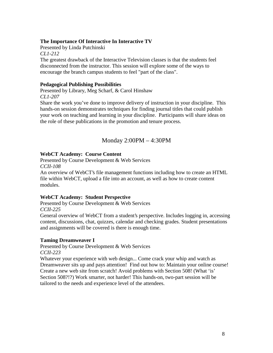#### **The Importance Of Interactive In Interactive TV**

Presented by Linda Putchinski

*CL1-212* 

The greatest drawback of the Interactive Television classes is that the students feel disconnected from the instructor. This session will explore some of the ways to encourage the branch campus students to feel "part of the class".

#### **Pedagogical Publishing Possibilities**

Presented by Library, Meg Scharf, & Carol Hinshaw *CL1-207* 

Share the work you've done to improve delivery of instruction in your discipline. This hands-on session demonstrates techniques for finding journal titles that could publish your work on teaching and learning in your discipline. Participants will share ideas on the role of these publications in the promotion and tenure process.

# Monday 2:00PM – 4:30PM

#### **WebCT Academy: Course Content**

Presented by Course Development & Web Services *CCII-108* 

An overview of WebCT's file management functions including how to create an HTML file within WebCT, upload a file into an account, as well as how to create content modules.

#### **WebCT Academy: Student Perspective**

Presented by Course Development & Web Services *CCII-225* 

General overview of WebCT from a student's perspective. Includes logging in, accessing content, discussions, chat, quizzes, calendar and checking grades. Student presentations and assignments will be covered is there is enough time.

#### **Taming Dreamweaver I**

Presented by Course Development & Web Services *CCII-223* 

Whatever your experience with web design... Come crack your whip and watch as Dreamweaver sits up and pays attention! Find out how to: Maintain your online course! Create a new web site from scratch! Avoid problems with Section 508! (What 'is' Section 508?!?) Work smarter, not harder! This hands-on, two-part session will be tailored to the needs and experience level of the attendees.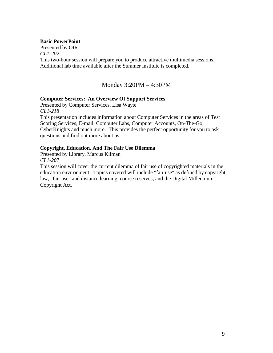#### **Basic PowerPoint**

Presented by OIR *CL1-202*  This two-hour session will prepare you to produce attractive multimedia sessions. Additional lab time available after the Summer Institute is completed.

Monday 3:20PM – 4:30PM

#### **Computer Services: An Overview Of Support Services**

Presented by Computer Services, Lisa Wayte *CL1-218*  This presentation includes information about Computer Services in the areas of Test Scoring Services, E-mail, Computer Labs, Computer Accounts, On-The-Go, CyberKnights and much more. This provides the perfect opportunity for you to ask questions and find out more about us.

### **Copyright, Education, And The Fair Use Dilemma**

Presented by Library, Marcus Kilman

*CL1-207* 

This session will cover the current dilemma of fair use of copyrighted materials in the education environment. Topics covered will include "fair use" as defined by copyright law, "fair use" and distance learning, course reserves, and the Digital Millennium Copyright Act.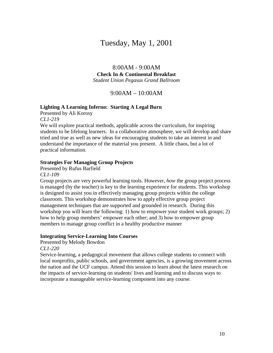# Tuesday, May 1, 2001

8:00AM - 9:00AM **Check In & Continental Breakfast**  *Student Union Pegasus Grand Ballroom* 

9:00AM – 10:00AM

#### **Lighting A Learning Inferno: Starting A Legal Burn**

Presented by Ali Korosy *CL1-219* 

We will explore practical methods, applicable across the curriculum, for inspiring students to be lifelong learners. In a collaborative atmosphere, we will develop and share tried and true as well as new ideas for encouraging students to take an interest in and understand the importance of the material you present. A little chaos, but a lot of practical information.

#### **Strategies For Managing Group Projects**

Presented by Rufus Barfield

*CL1-109* 

Group projects are very powerful learning tools. However, *how* the group project process is managed (by the teacher) is key to the learning experience for students. This workshop is designed to assist you in effectively managing group projects within the college classroom. This workshop demonstrates how to apply effective group project management techniques that are supported and grounded in research. During this workshop you will learn the following: 1) how to empower your student work groups; 2) how to help group members' empower each other; and 3) how to empower group members to manage group conflict in a healthy productive manner

#### **Integrating Service-Learning Into Courses**

Presented by Melody Bowdon

*CL1-220* 

Service-learning, a pedagogical movement that allows college students to connect with local nonprofits, public schools, and government agencies, is a growing movement across the nation and the UCF campus. Attend this session to learn about the latest research on the impacts of service-learning on students' lives and learning and to discuss ways to incorporate a manageable service-learning component into any course.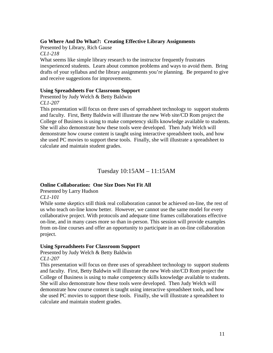#### **Go Where And Do What?: Creating Effective Library Assignments**

Presented by Library, Rich Gause

*CL1-218* 

What seems like simple library research to the instructor frequently frustrates inexperienced students. Learn about common problems and ways to avoid them. Bring drafts of your syllabus and the library assignments you're planning. Be prepared to give and receive suggestions for improvements.

#### **Using Spreadsheets For Classroom Support**

Presented by Judy Welch & Betty Baldwin *CL1-207* 

This presentation will focus on three uses of spreadsheet technology to support students and faculty. First, Betty Baldwin will illustrate the new Web site/CD Rom project the College of Business is using to make competency skills knowledge available to students. She will also demonstrate how these tools were developed. Then Judy Welch will demonstrate how course content is taught using interactive spreadsheet tools, and how she used PC movies to support these tools. Finally, she will illustrate a spreadsheet to calculate and maintain student grades.

# Tuesday 10:15AM – 11:15AM

#### **Online Collaboration: One Size Does Not Fit All**

Presented by Larry Hudson

#### *CL1-101*

While some skeptics still think real collaboration cannot be achieved on-line, the rest of us who teach on-line know better. However, we cannot use the same model for every collaborative project. With protocols and adequate time frames collaborations effective on-line, and in many cases more so than in-person. This session will provide examples from on-line courses and offer an opportunity to participate in an on-line collaboration project.

#### **Using Spreadsheets For Classroom Support**

Presented by Judy Welch & Betty Baldwin *CL1-207* 

This presentation will focus on three uses of spreadsheet technology to support students and faculty. First, Betty Baldwin will illustrate the new Web site/CD Rom project the College of Business is using to make competency skills knowledge available to students. She will also demonstrate how these tools were developed. Then Judy Welch will demonstrate how course content is taught using interactive spreadsheet tools, and how she used PC movies to support these tools. Finally, she will illustrate a spreadsheet to calculate and maintain student grades.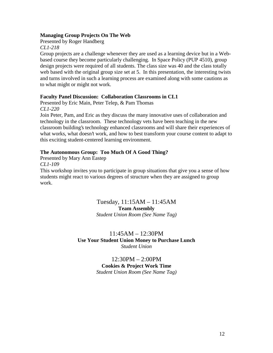#### **Managing Group Projects On The Web**

Presented by Roger Handberg

*CL1-218* 

Group projects are a challenge whenever they are used as a learning device but in a Webbased course they become particularly challenging. In Space Policy (PUP 4510), group design projects were required of all students. The class size was 40 and the class totally web based with the original group size set at 5. In this presentation, the interesting twists and turns involved in such a learning process are examined along with some cautions as to what might or might not work.

#### **Faculty Panel Discussion: Collaboration Classrooms in CL1**

Presented by Eric Main, Peter Telep, & Pam Thomas *CL1-220* 

Join Peter, Pam, and Eric as they discuss the many innovative uses of collaboration and technology in the classroom. These technology vets have been teaching in the new classroom building's technology enhanced classrooms and will share their experiences of what works, what doesn't work, and how to best transform your course content to adapt to this exciting student-centered learning environment.

#### **The Autonomous Group: Too Much Of A Good Thing?**

Presented by Mary Ann Eastep *CL1-109*  This workshop invites you to participate in group situations that give you a sense of how students might react to various degrees of structure when they are assigned to group work.

> Tuesday, 11:15AM – 11:45AM **Team Assembly**  *Student Union Room (See Name Tag)*

11:45AM – 12:30PM **Use Your Student Union Money to Purchase Lunch**  *Student Union* 

> 12:30PM – 2:00PM **Cookies & Project Work Time**  *Student Union Room (See Name Tag)*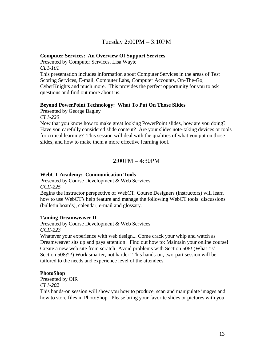# Tuesday 2:00PM – 3:10PM

#### **Computer Services: An Overview Of Support Services**

Presented by Computer Services, Lisa Wayte *CL1-101* 

This presentation includes information about Computer Services in the areas of Test Scoring Services, E-mail, Computer Labs, Computer Accounts, On-The-Go, CyberKnights and much more. This provides the perfect opportunity for you to ask questions and find out more about us.

#### **Beyond PowerPoint Technology: What To Put On Those Slides**

Presented by George Bagley

*CL1-220* 

Now that you know how to make great looking PowerPoint slides, how are you doing? Have you carefully considered slide content? Are your slides note-taking devices or tools for critical learning? This session will deal with the qualities of what you put on those slides, and how to make them a more effective learning tool.

## 2:00PM – 4:30PM

#### **WebCT Academy: Communication Tools**

Presented by Course Development & Web Services *CCII-225* 

Begins the instructor perspective of WebCT. Course Designers (instructors) will learn how to use WebCT's help feature and manage the following WebCT tools: discussions (bulletin boards), calendar, e-mail and glossary.

#### **Taming Dreamweaver II**

Presented by Course Development & Web Services *CCII-223* 

Whatever your experience with web design... Come crack your whip and watch as Dreamweaver sits up and pays attention! Find out how to: Maintain your online course! Create a new web site from scratch! Avoid problems with Section 508! (What 'is' Section 508?!?) Work smarter, not harder! This hands-on, two-part session will be tailored to the needs and experience level of the attendees.

#### **PhotoShop**

Presented by OIR

*CL1-202* 

This hands-on session will show you how to produce, scan and manipulate images and how to store files in PhotoShop. Please bring your favorite slides or pictures with you.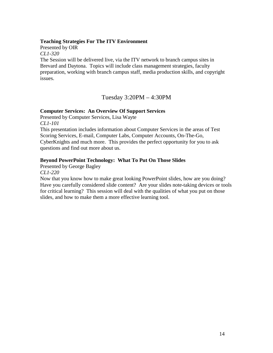#### **Teaching Strategies For The ITV Environment**

Presented by OIR

*CL1-320* 

The Session will be delivered live, via the ITV network to branch campus sites in Brevard and Daytona. Topics will include class management strategies, faculty preparation, working with branch campus staff, media production skills, and copyright issues.

Tuesday 3:20PM – 4:30PM

#### **Computer Services: An Overview Of Support Services**

Presented by Computer Services, Lisa Wayte *CL1-101* 

This presentation includes information about Computer Services in the areas of Test Scoring Services, E-mail, Computer Labs, Computer Accounts, On-The-Go, CyberKnights and much more. This provides the perfect opportunity for you to ask questions and find out more about us.

#### **Beyond PowerPoint Technology: What To Put On Those Slides**

Presented by George Bagley *CL1-220* 

Now that you know how to make great looking PowerPoint slides, how are you doing? Have you carefully considered slide content? Are your slides note-taking devices or tools for critical learning? This session will deal with the qualities of what you put on those slides, and how to make them a more effective learning tool.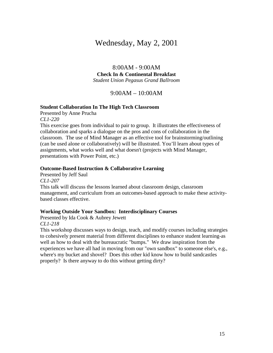# Wednesday, May 2, 2001

8:00AM - 9:00AM **Check In & Continental Breakfast**  *Student Union Pegasus Grand Ballroom* 

9:00AM – 10:00AM

#### **Student Collaboration In The High Tech Classroom**

Presented by Anne Prucha *CL1-220* 

This exercise goes from individual to pair to group. It illustrates the effectiveness of collaboration and sparks a dialogue on the pros and cons of collaboration in the classroom. The use of Mind Manager as an effective tool for brainstorming/outlining (can be used alone or collaboratively) will be illustrated. You'll learn about types of assignments, what works well and what doesn't (projects with Mind Manager, presentations with Power Point, etc.)

#### **Outcome-Based Instruction & Collaborative Learning**

Presented by Jeff Saul *CL1-207*  This talk will discuss the lessons learned about classroom design, classroom management, and curriculum from an outcomes-based approach to make these activitybased classes effective.

#### **Working Outside Your Sandbox: Interdisciplinary Courses**

Presented by Ida Cook & Aubrey Jewett *CL1-218* 

This workshop discusses ways to design, teach, and modify courses including strategies to cohesively present material from different disciplines to enhance student learning-as well as how to deal with the bureaucratic "bumps." We draw inspiration from the experiences we have all had in moving from our "own sandbox" to someone else's, e.g., where's my bucket and shovel? Does this other kid know how to build sandcastles properly? Is there anyway to do this without getting dirty?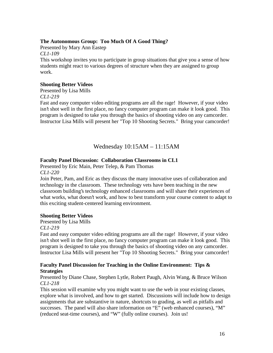#### **The Autonomous Group: Too Much Of A Good Thing?**

Presented by Mary Ann Eastep

*CL1-109* 

This workshop invites you to participate in group situations that give you a sense of how students might react to various degrees of structure when they are assigned to group work.

#### **Shooting Better Videos**

Presented by Lisa Mills

*CL1-219* 

Fast and easy computer video editing programs are all the rage! However, if your video isn't shot well in the first place, no fancy computer program can make it look good. This program is designed to take you through the basics of shooting video on any camcorder. Instructor Lisa Mills will present her "Top 10 Shooting Secrets." Bring your camcorder!

# Wednesday 10:15AM – 11:15AM

#### **Faculty Panel Discussion: Collaboration Classrooms in CL1**

Presented by Eric Main, Peter Telep, & Pam Thomas *CL1-220* 

Join Peter, Pam, and Eric as they discuss the many innovative uses of collaboration and technology in the classroom. These technology vets have been teaching in the new classroom building's technology enhanced classrooms and will share their experiences of what works, what doesn't work, and how to best transform your course content to adapt to this exciting student-centered learning environment.

#### **Shooting Better Videos**

Presented by Lisa Mills

*CL1-219* 

Fast and easy computer video editing programs are all the rage! However, if your video isn't shot well in the first place, no fancy computer program can make it look good. This program is designed to take you through the basics of shooting video on any camcorder. Instructor Lisa Mills will present her "Top 10 Shooting Secrets." Bring your camcorder!

#### **Faculty Panel Discussion for Teaching in the Online Environment: Tips & Strategies**

Presented by Diane Chase, Stephen Lytle, Robert Paugh, Alvin Wang, & Bruce Wilson *CL1-218* 

This session will examine why you might want to use the web in your existing classes, explore what is involved, and how to get started. Discussions will include how to design assignments that are substantive in nature, shortcuts to grading, as well as pitfalls and successes. The panel will also share information on "E" (web enhanced courses), "M" (reduced seat-time courses), and "W" (fully online courses). Join us!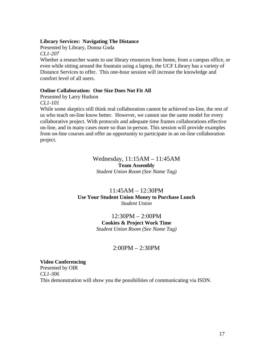#### **Library Services: Navigating The Distance**

Presented by Library, Donna Goda *CL1-207* 

Whether a researcher wants to use library resources from home, from a campus office, or even while sitting around the fountain using a laptop, the UCF Library has a variety of Distance Services to offer. This one-hour session will increase the knowledge and comfort level of all users.

#### **Online Collaboration: One Size Does Not Fit All**

Presented by Larry Hudson

*CL1-101* 

While some skeptics still think real collaboration cannot be achieved on-line, the rest of us who teach on-line know better. However, we cannot use the same model for every collaborative project. With protocols and adequate time frames collaborations effective on-line, and in many cases more so than in-person. This session will provide examples from on-line courses and offer an opportunity to participate in an on-line collaboration project.

#### Wednesday, 11:15AM – 11:45AM **Team Assembly**  *Student Union Room (See Name Tag)*

## 11:45AM – 12:30PM **Use Your Student Union Money to Purchase Lunch**  *Student Union*

#### 12:30PM – 2:00PM **Cookies & Project Work Time**  *Student Union Room (See Name Tag)*

# 2:00PM – 2:30PM

#### **Video Conferencing**

Presented by OIR *CL1-306*  This demonstration will show you the possibilities of communicating via ISDN.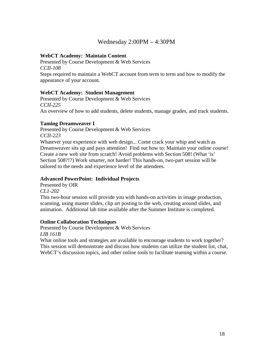# Wednesday 2:00PM – 4:30PM

#### **WebCT Academy: Maintain Content**

Presented by Course Development & Web Services *CCII-108*  Steps required to maintain a WebCT account from term to term and how to modify the appearance of your account.

#### **WebCT Academy: Student Management**

Presented by Course Development & Web Services *CCII-225*  An overview of how to add students, delete students, manage grades, and track students.

#### **Taming Dreamweaver I**

Presented by Course Development & Web Services *CCII-223* 

Whatever your experience with web design... Come crack your whip and watch as Dreamweaver sits up and pays attention! Find out how to: Maintain your online course! Create a new web site from scratch! Avoid problems with Section 508! (What 'is' Section 508?!?) Work smarter, not harder! This hands-on, two-part session will be tailored to the needs and experience level of the attendees.

#### **Advanced PowerPoint: Individual Projects**

Presented by OIR *CL1-202* 

This two-hour session will provide you with hands-on activities in image production, scanning, using master slides, clip art posting to the web, creating around slides, and animation. Additional lab time available after the Summer Institute is completed.

#### **Online Collaboration Techniques**

Presented by Course Development & Web Services *LIB 161B* 

What online tools and strategies are available to encourage students to work together? This session will demonstrate and discuss how students can utilize the student list, chat, WebCT's discussion topics, and other online tools to facilitate teaming within a course.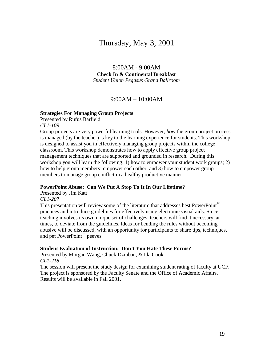# Thursday, May 3, 2001

8:00AM - 9:00AM **Check In & Continental Breakfast**  *Student Union Pegasus Grand Ballroom* 

#### 9:00AM – 10:00AM

#### **Strategies For Managing Group Projects**

Presented by Rufus Barfield *CL1-109* 

Group projects are very powerful learning tools. However, *how* the group project process is managed (by the teacher) is key to the learning experience for students. This workshop is designed to assist you in effectively managing group projects within the college classroom. This workshop demonstrates how to apply effective group project management techniques that are supported and grounded in research. During this workshop you will learn the following: 1) how to empower your student work groups; 2) how to help group members' empower each other; and 3) how to empower group members to manage group conflict in a healthy productive manner

#### **PowerPoint Abuse: Can We Put A Stop To It In Our Lifetime?**

Presented by Jim Katt

#### *CL1-207*

This presentation will review some of the literature that addresses best PowerPoint™ practices and introduce guidelines for effectively using electronic visual aids. Since teaching involves its own unique set of challenges, teachers will find it necessary, at times, to deviate from the guidelines. Ideas for bending the rules without becoming abusive will be discussed, with an opportunity for participants to share tips, techniques, and pet PowerPoint<sup>™</sup> peeves.

#### **Student Evaluation of Instruction: Don't You Hate These Forms?**

Presented by Morgan Wang, Chuck Dziuban, & Ida Cook *CL1-218* 

The session will present the study design for examining student rating of faculty at UCF. The project is sponsored by the Faculty Senate and the Office of Academic Affairs. Results will be available in Fall 2001.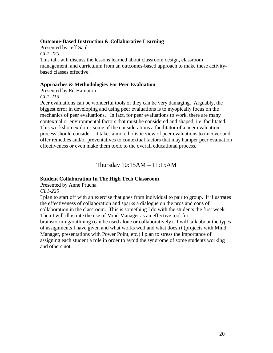#### **Outcome-Based Instruction & Collaborative Learning**

Presented by Jeff Saul *CL1-220*  This talk will discuss the lessons learned about classroom design, classroom management, and curriculum from an outcomes-based approach to make these activitybased classes effective.

#### **Approaches & Methodologies For Peer Evaluation**

Presented by Ed Hampton

#### *CL1-219*

Peer evaluations can be wonderful tools or they can be very damaging. Arguably, the biggest error in developing and using peer evaluations is to myopically focus on the mechanics of peer evaluations. In fact, for peer evaluations to work, there are many contextual or environmental factors that must be considered and shaped, i.e. facilitated. This workshop explores some of the considerations a facilitator of a peer evaluation process should consider. It takes a more holistic view of peer evaluations to uncover and offer remedies and/or preventatives to contextual factors that may hamper peer evaluation effectiveness or even make them toxic to the overall educational process.

Thursday 10:15AM – 11:15AM

#### **Student Collaboration In The High Tech Classroom**

Presented by Anne Prucha

*CL1-220* 

I plan to start off with an exercise that goes from individual to pair to group. It illustrates the effectiveness of collaboration and sparks a dialogue on the pros and cons of collaboration in the classroom. This is something I do with the students the first week. Then I will illustrate the use of Mind Manager as an effective tool for brainstorming/outlining (can be used alone or collaboratively). I will talk about the types of assignments I have given and what works well and what doesn't (projects with Mind Manager, presentations with Power Point, etc.) I plan to stress the importance of assigning each student a role in order to avoid the syndrome of some students working and others not.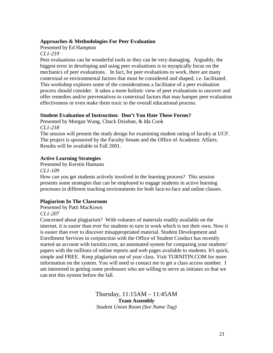#### **Approaches & Methodologies For Peer Evaluation**

Presented by Ed Hampton

*CL1-219* 

Peer evaluations can be wonderful tools or they can be very damaging. Arguably, the biggest error in developing and using peer evaluations is to myopically focus on the mechanics of peer evaluations. In fact, for peer evaluations to work, there are many contextual or environmental factors that must be considered and shaped, i.e. facilitated. This workshop explores some of the considerations a facilitator of a peer evaluation process should consider. It takes a more holistic view of peer evaluations to uncover and offer remedies and/or preventatives to contextual factors that may hamper peer evaluation effectiveness or even make them toxic to the overall educational process.

#### **Student Evaluation of Instruction: Don't You Hate These Forms?**

Presented by Morgan Wang, Chuck Dziuban, & Ida Cook *CL1-218* 

The session will present the study design for examining student rating of faculty at UCF. The project is sponsored by the Faculty Senate and the Office of Academic Affairs. Results will be available in Fall 2001.

#### **Active Learning Strategies**

Presented by Kerstin Hamann *CL1-109* 

How can you get students actively involved in the learning process? This session presents some strategies that can be employed to engage students in active learning processes in different teaching environments for both face-to-face and online classes.

#### **Plagiarism In The Classroom**

Presented by Patti MacKown *CL1-207* 

Concerned about plagiarism? With volumes of materials readily available on the internet, it is easier than ever for students to turn in work which is not their own. Now it is easier than ever to discover misappropriated material. Student Development and Enrollment Services in conjunction with the Office of Student Conduct has recently started an account with turnitin.com, an automated system for comparing your students' papers with the millions of online reports and web pages available to students. It's quick, simple and FREE. Keep plagiarism out of your class. Visit TURNITIN.COM for more information on the system. You will need to contact me to get a class access number. I am interested in getting some professors who are willing to serve as initiates so that we can test this system before the fall.

> Thursday, 11:15AM – 11:45AM **Team Assembly**  *Student Union Room (See Name Tag)*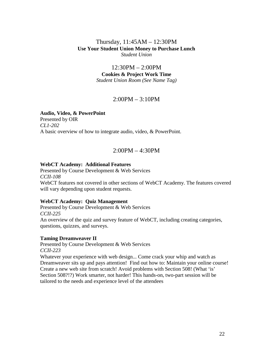## Thursday, 11:45AM – 12:30PM **Use Your Student Union Money to Purchase Lunch**  *Student Union*

12:30PM – 2:00PM **Cookies & Project Work Time**  *Student Union Room (See Name Tag)* 

# 2:00PM – 3:10PM

#### **Audio, Video, & PowerPoint**

Presented by OIR *CL1-202*  A basic overview of how to integrate audio, video, & PowerPoint.

# 2:00PM – 4:30PM

#### **WebCT Academy: Additional Features**

Presented by Course Development & Web Services *CCII-108*  WebCT features not covered in other sections of WebCT Academy. The features covered will vary depending upon student requests.

#### **WebCT Academy: Quiz Management**

Presented by Course Development & Web Services *CCII-225*  An overview of the quiz and survey feature of WebCT, including creating categories, questions, quizzes, and surveys.

#### **Taming Dreamweaver II**

Presented by Course Development & Web Services *CCII-223* 

Whatever your experience with web design... Come crack your whip and watch as Dreamweaver sits up and pays attention! Find out how to: Maintain your online course! Create a new web site from scratch! Avoid problems with Section 508! (What 'is' Section 508?!?) Work smarter, not harder! This hands-on, two-part session will be tailored to the needs and experience level of the attendees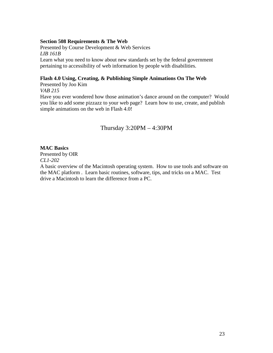#### **Section 508 Requirements & The Web**

Presented by Course Development & Web Services *LIB 161B*  Learn what you need to know about new standards set by the federal government pertaining to accessibility of web information by people with disabilities.

#### **Flash 4.0 Using, Creating, & Publishing Simple Animations On The Web**

Presented by Joo Kim *VAB 215* 

Have you ever wondered how those animation's dance around on the computer? Would you like to add some pizzazz to your web page? Learn how to use, create, and publish simple animations on the web in Flash 4.0!

# Thursday 3:20PM – 4:30PM

#### **MAC Basics**

Presented by OIR *CL1-202* 

A basic overview of the Macintosh operating system. How to use tools and software on the MAC platform . Learn basic routines, software, tips, and tricks on a MAC. Test drive a Macintosh to learn the difference from a PC.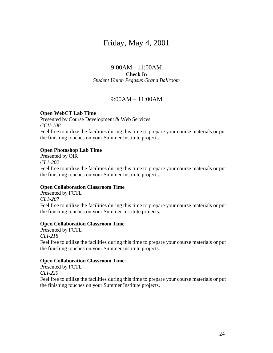# Friday, May 4, 2001

#### 9:00AM - 11:00AM **Check In**  *Student Union Pegasus Grand Ballroom*

## 9:00AM – 11:00AM

#### **Open WebCT Lab Time**

Presented by Course Development & Web Services *CCII-108*  Feel free to utilize the facilities during this time to prepare your course materials or put the finishing touches on your Summer Institute projects.

#### **Open Photoshop Lab Time**

Presented by OIR *CL1-202*  Feel free to utilize the facilities during this time to prepare your course materials or put the finishing touches on your Summer Institute projects.

#### **Open Collaboration Classroom Time**

Presented by FCTL *CL1-207*  Feel free to utilize the facilities during this time to prepare your course materials or put the finishing touches on your Summer Institute projects.

#### **Open Collaboration Classroom Time**

Presented by FCTL *CLI-218*  Feel free to utilize the facilities during this time to prepare your course materials or put the finishing touches on your Summer Institute projects.

#### **Open Collaboration Classroom Time**

Presented by FCTL *CLI-220*  Feel free to utilize the facilities during this time to prepare your course materials or put the finishing touches on your Summer Institute projects.